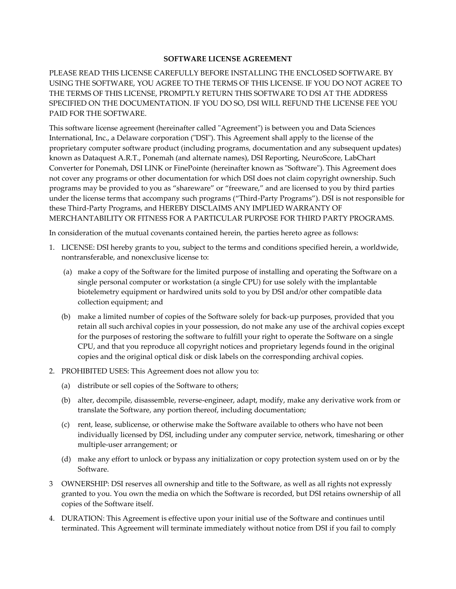#### **SOFTWARE LICENSE AGREEMENT**

PLEASE READ THIS LICENSE CAREFULLY BEFORE INSTALLING THE ENCLOSED SOFTWARE. BY USING THE SOFTWARE, YOU AGREE TO THE TERMS OF THIS LICENSE. IF YOU DO NOT AGREE TO THE TERMS OF THIS LICENSE, PROMPTLY RETURN THIS SOFTWARE TO DSI AT THE ADDRESS SPECIFIED ON THE DOCUMENTATION. IF YOU DO SO, DSI WILL REFUND THE LICENSE FEE YOU PAID FOR THE SOFTWARE.

This software license agreement (hereinafter called "Agreement") is between you and Data Sciences International, Inc., a Delaware corporation ("DSI"). This Agreement shall apply to the license of the proprietary computer software product (including programs, documentation and any subsequent updates) known as Dataquest A.R.T., Ponemah (and alternate names), DSI Reporting, NeuroScore, LabChart Converter for Ponemah, DSI LINK or FinePointe (hereinafter known as "Software"). This Agreement does not cover any programs or other documentation for which DSI does not claim copyright ownership. Such programs may be provided to you as "shareware" or "freeware," and are licensed to you by third parties under the license terms that accompany such programs ("Third-Party Programs"). DSI is not responsible for these Third-Party Programs, and HEREBY DISCLAIMS ANY IMPLIED WARRANTY OF MERCHANTABILITY OR FITNESS FOR A PARTICULAR PURPOSE FOR THIRD PARTY PROGRAMS.

In consideration of the mutual covenants contained herein, the parties hereto agree as follows:

- 1. LICENSE: DSI hereby grants to you, subject to the terms and conditions specified herein, a worldwide, nontransferable, and nonexclusive license to:
	- (a) make a copy of the Software for the limited purpose of installing and operating the Software on a single personal computer or workstation (a single CPU) for use solely with the implantable biotelemetry equipment or hardwired units sold to you by DSI and/or other compatible data collection equipment; and
	- (b) make a limited number of copies of the Software solely for back-up purposes, provided that you retain all such archival copies in your possession, do not make any use of the archival copies except for the purposes of restoring the software to fulfill your right to operate the Software on a single CPU, and that you reproduce all copyright notices and proprietary legends found in the original copies and the original optical disk or disk labels on the corresponding archival copies.
- 2. PROHIBITED USES: This Agreement does not allow you to:
	- (a) distribute or sell copies of the Software to others;
	- (b) alter, decompile, disassemble, reverse-engineer, adapt, modify, make any derivative work from or translate the Software, any portion thereof, including documentation;
	- (c) rent, lease, sublicense, or otherwise make the Software available to others who have not been individually licensed by DSI, including under any computer service, network, timesharing or other multiple-user arrangement; or
	- (d) make any effort to unlock or bypass any initialization or copy protection system used on or by the Software.
- 3 OWNERSHIP: DSI reserves all ownership and title to the Software, as well as all rights not expressly granted to you. You own the media on which the Software is recorded, but DSI retains ownership of all copies of the Software itself.
- 4. DURATION: This Agreement is effective upon your initial use of the Software and continues until terminated. This Agreement will terminate immediately without notice from DSI if you fail to comply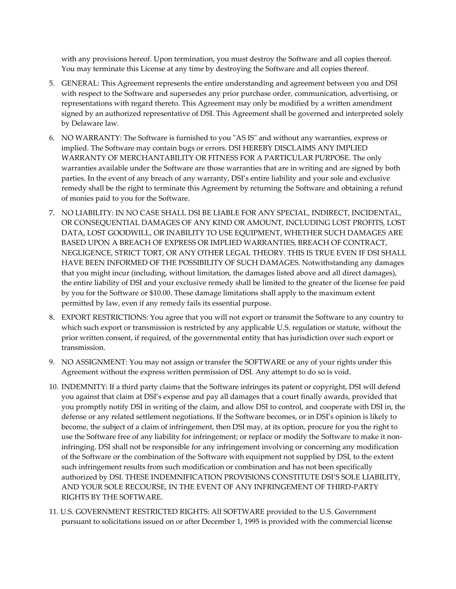with any provisions hereof. Upon termination, you must destroy the Software and all copies thereof. You may terminate this License at any time by destroying the Software and all copies thereof.

- 5. GENERAL: This Agreement represents the entire understanding and agreement between you and DSI with respect to the Software and supersedes any prior purchase order, communication, advertising, or representations with regard thereto. This Agreement may only be modified by a written amendment signed by an authorized representative of DSI. This Agreement shall be governed and interpreted solely by Delaware law.
- 6. NO WARRANTY: The Software is furnished to you "AS IS" and without any warranties, express or implied. The Software may contain bugs or errors. DSI HEREBY DISCLAIMS ANY IMPLIED WARRANTY OF MERCHANTABILITY OR FITNESS FOR A PARTICULAR PURPOSE. The only warranties available under the Software are those warranties that are in writing and are signed by both parties. In the event of any breach of any warranty, DSI's entire liability and your sole and exclusive remedy shall be the right to terminate this Agreement by returning the Software and obtaining a refund of monies paid to you for the Software.
- 7. NO LIABILITY: IN NO CASE SHALL DSI BE LIABLE FOR ANY SPECIAL, INDIRECT, INCIDENTAL, OR CONSEQUENTIAL DAMAGES OF ANY KIND OR AMOUNT, INCLUDING LOST PROFITS, LOST DATA, LOST GOODWILL, OR INABILITY TO USE EQUIPMENT, WHETHER SUCH DAMAGES ARE BASED UPON A BREACH OF EXPRESS OR IMPLIED WARRANTIES, BREACH OF CONTRACT, NEGLIGENCE, STRICT TORT, OR ANY OTHER LEGAL THEORY. THIS IS TRUE EVEN IF DSI SHALL HAVE BEEN INFORMED OF THE POSSIBILITY OF SUCH DAMAGES. Notwithstanding any damages that you might incur (including, without limitation, the damages listed above and all direct damages), the entire liability of DSI and your exclusive remedy shall be limited to the greater of the license fee paid by you for the Software or \$10.00. These damage limitations shall apply to the maximum extent permitted by law, even if any remedy fails its essential purpose.
- 8. EXPORT RESTRICTIONS: You agree that you will not export or transmit the Software to any country to which such export or transmission is restricted by any applicable U.S. regulation or statute, without the prior written consent, if required, of the governmental entity that has jurisdiction over such export or transmission.
- 9. NO ASSIGNMENT: You may not assign or transfer the SOFTWARE or any of your rights under this Agreement without the express written permission of DSI. Any attempt to do so is void.
- 10. INDEMNITY: If a third party claims that the Software infringes its patent or copyright, DSI will defend you against that claim at DSI's expense and pay all damages that a court finally awards, provided that you promptly notify DSI in writing of the claim, and allow DSI to control, and cooperate with DSI in, the defense or any related settlement negotiations. If the Software becomes, or in DSI's opinion is likely to become, the subject of a claim of infringement, then DSI may, at its option, procure for you the right to use the Software free of any liability for infringement; or replace or modify the Software to make it noninfringing. DSI shall not be responsible for any infringement involving or concerning any modification of the Software or the combination of the Software with equipment not supplied by DSI, to the extent such infringement results from such modification or combination and has not been specifically authorized by DSI. THESE INDEMNIFICATION PROVISIONS CONSTITUTE DSI'S SOLE LIABILITY, AND YOUR SOLE RECOURSE, IN THE EVENT OF ANY INFRINGEMENT OF THIRD-PARTY RIGHTS BY THE SOFTWARE.
- 11. U.S. GOVERNMENT RESTRICTED RIGHTS: All SOFTWARE provided to the U.S. Government pursuant to solicitations issued on or after December 1, 1995 is provided with the commercial license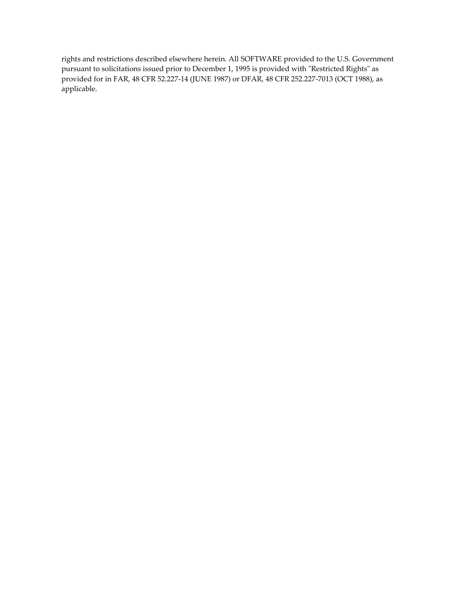rights and restrictions described elsewhere herein. All SOFTWARE provided to the U.S. Government pursuant to solicitations issued prior to December 1, 1995 is provided with "Restricted Rights" as provided for in FAR, 48 CFR 52.227-14 (JUNE 1987) or DFAR, 48 CFR 252.227-7013 (OCT 1988), as applicable.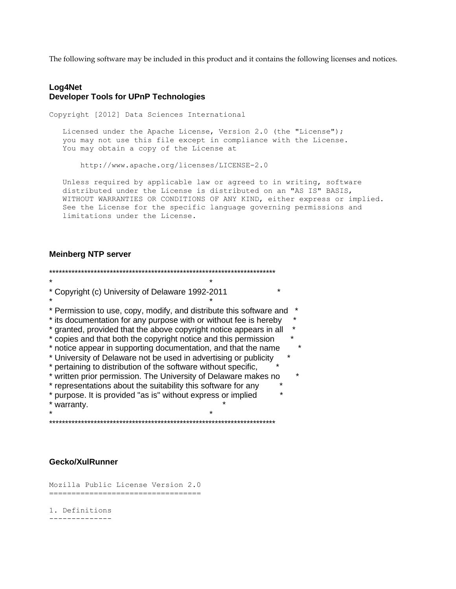The following software may be included in this product and it contains the following licenses and notices.

#### **Log4Net Developer Tools for UPnP Technologies**

Copyright [2012] Data Sciences International Licensed under the Apache License, Version 2.0 (the "License"); you may not use this file except in compliance with the License. You may obtain a copy of the License at http://www.apache.org/licenses/LICENSE-2.0 Unless required by applicable law or agreed to in writing, software

 distributed under the License is distributed on an "AS IS" BASIS, WITHOUT WARRANTIES OR CONDITIONS OF ANY KIND, either express or implied. See the License for the specific language governing permissions and limitations under the License.

#### **Meinberg NTP server**

\*\*\*\*\*\*\*\*\*\*\*\*\*\*\*\*\*\*\*\*\*\*\*\*\*\*\*\*\*\*\*\*\*\*\*\*\*\*\*\*\*\*\*\*\*\*\*\*\*\*\*\*\*\*\*\*\*\*\*\*\*\*\*\*\*\*\*\*\*\*\*  $\star$  \* \* Copyright (c) University of Delaware 1992-2011 \*  $\star$  \* \* Permission to use, copy, modify, and distribute this software and \* \* its documentation for any purpose with or without fee is hereby \* \* granted, provided that the above copyright notice appears in all \* \* copies and that both the copyright notice and this permission \* \* notice appear in supporting documentation, and that the name \* \* University of Delaware not be used in advertising or publicity \* \* pertaining to distribution of the software without specific, \* \* written prior permission. The University of Delaware makes no \* \* representations about the suitability this software for any \* \* purpose. It is provided "as is" without express or implied \* \* warranty. \*  $\star$  \* \*\*\*\*\*\*\*\*\*\*\*\*\*\*\*\*\*\*\*\*\*\*\*\*\*\*\*\*\*\*\*\*\*\*\*\*\*\*\*\*\*\*\*\*\*\*\*\*\*\*\*\*\*\*\*\*\*\*\*\*\*\*\*\*\*\*\*\*\*\*\*

#### **Gecko/XulRunner**

Mozilla Public License Version 2.0 ==================================

1. Definitions --------------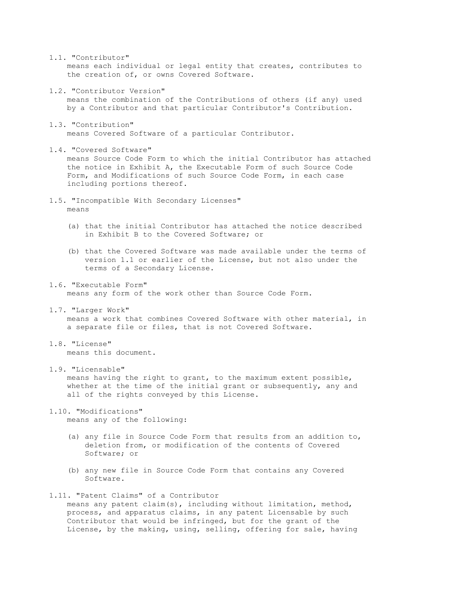1.1. "Contributor"

 means each individual or legal entity that creates, contributes to the creation of, or owns Covered Software.

1.2. "Contributor Version"

 means the combination of the Contributions of others (if any) used by a Contributor and that particular Contributor's Contribution.

- 1.3. "Contribution" means Covered Software of a particular Contributor.
- 1.4. "Covered Software"

 means Source Code Form to which the initial Contributor has attached the notice in Exhibit A, the Executable Form of such Source Code Form, and Modifications of such Source Code Form, in each case including portions thereof.

- 1.5. "Incompatible With Secondary Licenses" means
	- (a) that the initial Contributor has attached the notice described in Exhibit B to the Covered Software; or
	- (b) that the Covered Software was made available under the terms of version 1.1 or earlier of the License, but not also under the terms of a Secondary License.
- 1.6. "Executable Form" means any form of the work other than Source Code Form.
- 1.7. "Larger Work"

 means a work that combines Covered Software with other material, in a separate file or files, that is not Covered Software.

- 1.8. "License" means this document.
- 1.9. "Licensable"

 means having the right to grant, to the maximum extent possible, whether at the time of the initial grant or subsequently, any and all of the rights conveyed by this License.

1.10. "Modifications"

means any of the following:

- (a) any file in Source Code Form that results from an addition to, deletion from, or modification of the contents of Covered Software; or
- (b) any new file in Source Code Form that contains any Covered Software.

#### 1.11. "Patent Claims" of a Contributor means any patent claim(s), including without limitation, method, process, and apparatus claims, in any patent Licensable by such Contributor that would be infringed, but for the grant of the License, by the making, using, selling, offering for sale, having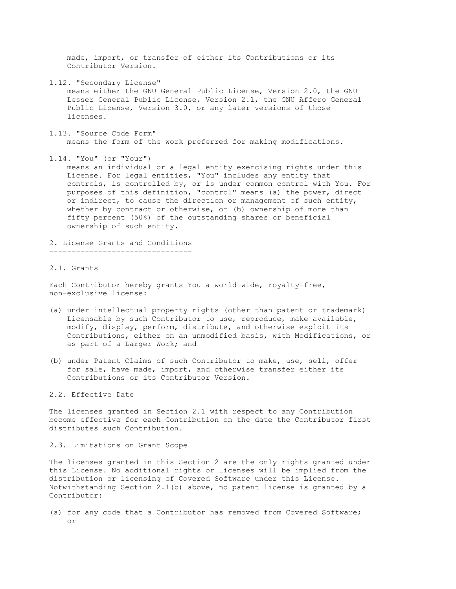made, import, or transfer of either its Contributions or its Contributor Version.

1.12. "Secondary License"

 means either the GNU General Public License, Version 2.0, the GNU Lesser General Public License, Version 2.1, the GNU Affero General Public License, Version 3.0, or any later versions of those licenses.

1.13. "Source Code Form"

means the form of the work preferred for making modifications.

1.14. "You" (or "Your")

 means an individual or a legal entity exercising rights under this License. For legal entities, "You" includes any entity that controls, is controlled by, or is under common control with You. For purposes of this definition, "control" means (a) the power, direct or indirect, to cause the direction or management of such entity, whether by contract or otherwise, or (b) ownership of more than fifty percent (50%) of the outstanding shares or beneficial ownership of such entity.

2. License Grants and Conditions --------------------------------

#### 2.1. Grants

Each Contributor hereby grants You a world-wide, royalty-free, non-exclusive license:

- (a) under intellectual property rights (other than patent or trademark) Licensable by such Contributor to use, reproduce, make available, modify, display, perform, distribute, and otherwise exploit its Contributions, either on an unmodified basis, with Modifications, or as part of a Larger Work; and
- (b) under Patent Claims of such Contributor to make, use, sell, offer for sale, have made, import, and otherwise transfer either its Contributions or its Contributor Version.

#### 2.2. Effective Date

The licenses granted in Section 2.1 with respect to any Contribution become effective for each Contribution on the date the Contributor first distributes such Contribution.

2.3. Limitations on Grant Scope

The licenses granted in this Section 2 are the only rights granted under this License. No additional rights or licenses will be implied from the distribution or licensing of Covered Software under this License. Notwithstanding Section 2.1(b) above, no patent license is granted by a Contributor:

(a) for any code that a Contributor has removed from Covered Software; or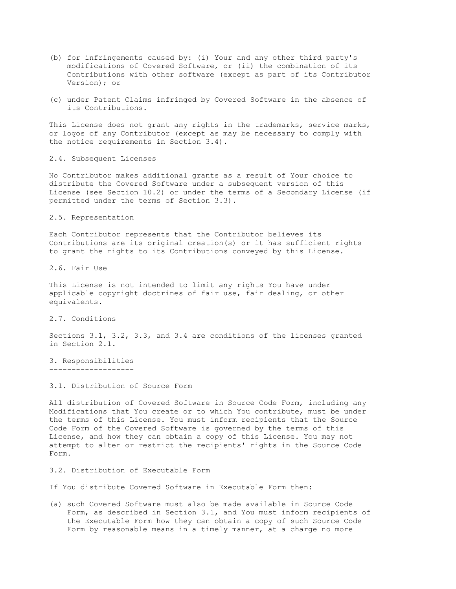- (b) for infringements caused by: (i) Your and any other third party's modifications of Covered Software, or (ii) the combination of its Contributions with other software (except as part of its Contributor Version); or
- (c) under Patent Claims infringed by Covered Software in the absence of its Contributions.

This License does not grant any rights in the trademarks, service marks, or logos of any Contributor (except as may be necessary to comply with the notice requirements in Section 3.4).

2.4. Subsequent Licenses

No Contributor makes additional grants as a result of Your choice to distribute the Covered Software under a subsequent version of this License (see Section 10.2) or under the terms of a Secondary License (if permitted under the terms of Section 3.3).

2.5. Representation

Each Contributor represents that the Contributor believes its Contributions are its original creation(s) or it has sufficient rights to grant the rights to its Contributions conveyed by this License.

2.6. Fair Use

This License is not intended to limit any rights You have under applicable copyright doctrines of fair use, fair dealing, or other equivalents.

2.7. Conditions

Sections 3.1, 3.2, 3.3, and 3.4 are conditions of the licenses granted in Section 2.1.

3. Responsibilities -------------------

3.1. Distribution of Source Form

All distribution of Covered Software in Source Code Form, including any Modifications that You create or to which You contribute, must be under the terms of this License. You must inform recipients that the Source Code Form of the Covered Software is governed by the terms of this License, and how they can obtain a copy of this License. You may not attempt to alter or restrict the recipients' rights in the Source Code Form.

3.2. Distribution of Executable Form

If You distribute Covered Software in Executable Form then:

(a) such Covered Software must also be made available in Source Code Form, as described in Section 3.1, and You must inform recipients of the Executable Form how they can obtain a copy of such Source Code Form by reasonable means in a timely manner, at a charge no more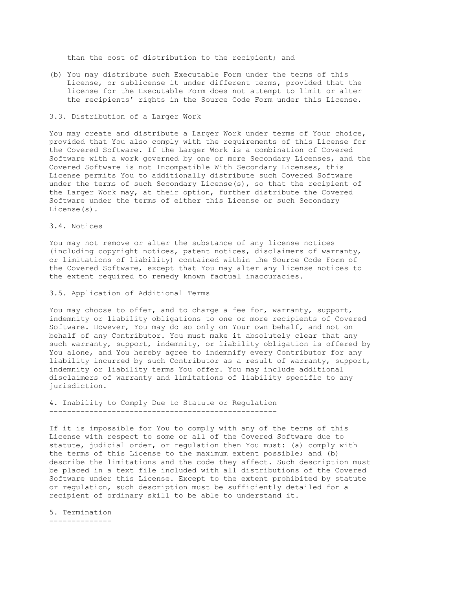than the cost of distribution to the recipient; and

(b) You may distribute such Executable Form under the terms of this License, or sublicense it under different terms, provided that the license for the Executable Form does not attempt to limit or alter the recipients' rights in the Source Code Form under this License.

#### 3.3. Distribution of a Larger Work

You may create and distribute a Larger Work under terms of Your choice, provided that You also comply with the requirements of this License for the Covered Software. If the Larger Work is a combination of Covered Software with a work governed by one or more Secondary Licenses, and the Covered Software is not Incompatible With Secondary Licenses, this License permits You to additionally distribute such Covered Software under the terms of such Secondary License(s), so that the recipient of the Larger Work may, at their option, further distribute the Covered Software under the terms of either this License or such Secondary License(s).

#### 3.4. Notices

You may not remove or alter the substance of any license notices (including copyright notices, patent notices, disclaimers of warranty, or limitations of liability) contained within the Source Code Form of the Covered Software, except that You may alter any license notices to the extent required to remedy known factual inaccuracies.

3.5. Application of Additional Terms

You may choose to offer, and to charge a fee for, warranty, support, indemnity or liability obligations to one or more recipients of Covered Software. However, You may do so only on Your own behalf, and not on behalf of any Contributor. You must make it absolutely clear that any such warranty, support, indemnity, or liability obligation is offered by You alone, and You hereby agree to indemnify every Contributor for any liability incurred by such Contributor as a result of warranty, support, indemnity or liability terms You offer. You may include additional disclaimers of warranty and limitations of liability specific to any jurisdiction.

4. Inability to Comply Due to Statute or Regulation ---------------------------------------------------

If it is impossible for You to comply with any of the terms of this License with respect to some or all of the Covered Software due to statute, judicial order, or regulation then You must: (a) comply with the terms of this License to the maximum extent possible; and (b) describe the limitations and the code they affect. Such description must be placed in a text file included with all distributions of the Covered Software under this License. Except to the extent prohibited by statute or regulation, such description must be sufficiently detailed for a recipient of ordinary skill to be able to understand it.

5. Termination --------------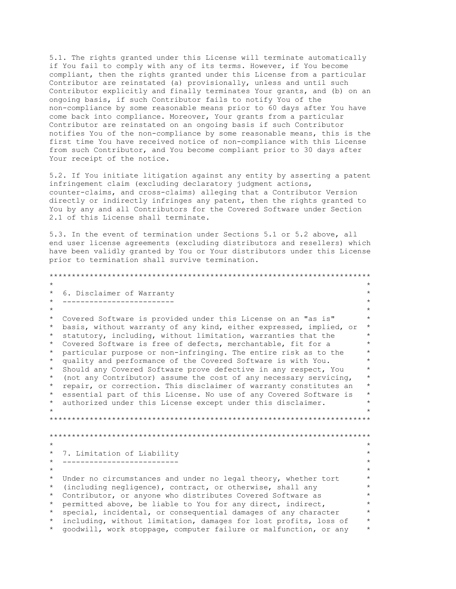5.1. The rights granted under this License will terminate automatically if You fail to comply with any of its terms. However, if You become compliant, then the rights granted under this License from a particular Contributor are reinstated (a) provisionally, unless and until such Contributor explicitly and finally terminates Your grants, and (b) on an ongoing basis, if such Contributor fails to notify You of the non-compliance by some reasonable means prior to 60 days after You have come back into compliance. Moreover, Your grants from a particular Contributor are reinstated on an ongoing basis if such Contributor notifies You of the non-compliance by some reasonable means, this is the first time You have received notice of non-compliance with this License from such Contributor, and You become compliant prior to 30 days after Your receipt of the notice.

5.2. If You initiate litigation against any entity by asserting a patent infringement claim (excluding declaratory judgment actions, counter-claims, and cross-claims) alleging that a Contributor Version directly or indirectly infringes any patent, then the rights granted to You by any and all Contributors for the Covered Software under Section 2.1 of this License shall terminate.

5.3. In the event of termination under Sections 5.1 or 5.2 above, all end user license agreements (excluding distributors and resellers) which have been validly granted by You or Your distributors under this License prior to termination shall survive termination.

\*\*\*\*\*\*\*\*\*\*\*\*\*\*\*\*\*\*\*\*\*\*\*\*\*\*\*\*\*\*\*\*\*\*\*\*\*\*\*\*\*\*\*\*\*\*\*\*\*\*\*\*\*\*\*\*\*\*\*\*\*\*\*\*\*\*\*\*\*\*\*\*  $\star$  \* \* 6. Disclaimer of Warranty \* \* ------------------------- \*  $\star$  \* \* Covered Software is provided under this License on an "as is" \* \* basis, without warranty of any kind, either expressed, implied, or \* \* statutory, including, without limitation, warranties that the \* \* Covered Software is free of defects, merchantable, fit for a \* \* particular purpose or non-infringing. The entire risk as to the \* quality and performance of the Covered Software is with You. \* Should any Covered Software prove defective in any respect, You \* (not any Contributor) assume the cost of any necessary servicing, \* repair, or correction. This disclaimer of warranty constitutes an \* \* essential part of this License. No use of any Covered Software is \* \* authorized under this License except under this disclaimer. \*  $\star$  \* \*\*\*\*\*\*\*\*\*\*\*\*\*\*\*\*\*\*\*\*\*\*\*\*\*\*\*\*\*\*\*\*\*\*\*\*\*\*\*\*\*\*\*\*\*\*\*\*\*\*\*\*\*\*\*\*\*\*\*\*\*\*\*\*\*\*\*\*\*\*\*\* \*\*\*\*\*\*\*\*\*\*\*\*\*\*\*\*\*\*\*\*\*\*\*\*\*\*\*\*\*\*\*\*\*\*\*\*\*\*\*\*\*\*\*\*\*\*\*\*\*\*\*\*\*\*\*\*\*\*\*\*\*\*\*\*\*\*\*\*\*\*\*\*  $\star$  \* \* 7. Limitation of Liability \* -------------------------- $\star$  \* \* Under no circumstances and under no legal theory, whether tort \* (including negligence), contract, or otherwise, shall any \* Contributor, or anyone who distributes Covered Software as \* \* permitted above, be liable to You for any direct, indirect, \* \* special, incidental, or consequential damages of any character \* \* including, without limitation, damages for lost profits, loss of \* \* goodwill, work stoppage, computer failure or malfunction, or any \*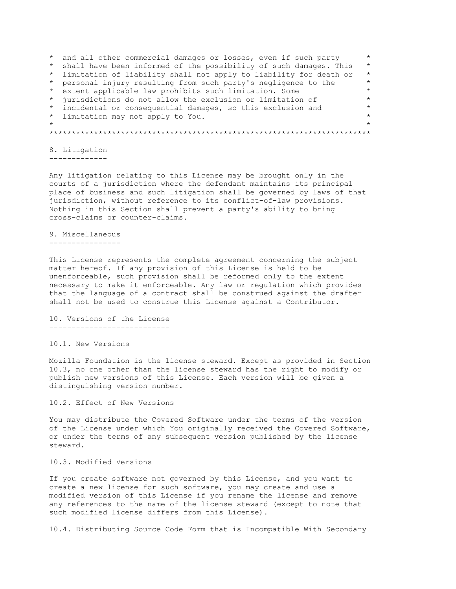\* and all other commercial damages or losses, even if such party \* \* shall have been informed of the possibility of such damages. This \* \* limitation of liability shall not apply to liability for death or \* \* personal injury resulting from such party's negligence to the \* \* extent applicable law prohibits such limitation. Some \* \* jurisdictions do not allow the exclusion or limitation of \* \* incidental or consequential damages, so this exclusion and  $*$ \* limitation may not apply to You. \*  $\star$  \* \*\*\*\*\*\*\*\*\*\*\*\*\*\*\*\*\*\*\*\*\*\*\*\*\*\*\*\*\*\*\*\*\*\*\*\*\*\*\*\*\*\*\*\*\*\*\*\*\*\*\*\*\*\*\*\*\*\*\*\*\*\*\*\*\*\*\*\*\*\*\*\*

8. Litigation -------------

Any litigation relating to this License may be brought only in the courts of a jurisdiction where the defendant maintains its principal place of business and such litigation shall be governed by laws of that jurisdiction, without reference to its conflict-of-law provisions. Nothing in this Section shall prevent a party's ability to bring cross-claims or counter-claims.

9. Miscellaneous ----------------

This License represents the complete agreement concerning the subject matter hereof. If any provision of this License is held to be unenforceable, such provision shall be reformed only to the extent necessary to make it enforceable. Any law or regulation which provides that the language of a contract shall be construed against the drafter shall not be used to construe this License against a Contributor.

10. Versions of the License ---------------------------

10.1. New Versions

Mozilla Foundation is the license steward. Except as provided in Section 10.3, no one other than the license steward has the right to modify or publish new versions of this License. Each version will be given a distinguishing version number.

10.2. Effect of New Versions

You may distribute the Covered Software under the terms of the version of the License under which You originally received the Covered Software, or under the terms of any subsequent version published by the license steward.

10.3. Modified Versions

If you create software not governed by this License, and you want to create a new license for such software, you may create and use a modified version of this License if you rename the license and remove any references to the name of the license steward (except to note that such modified license differs from this License).

10.4. Distributing Source Code Form that is Incompatible With Secondary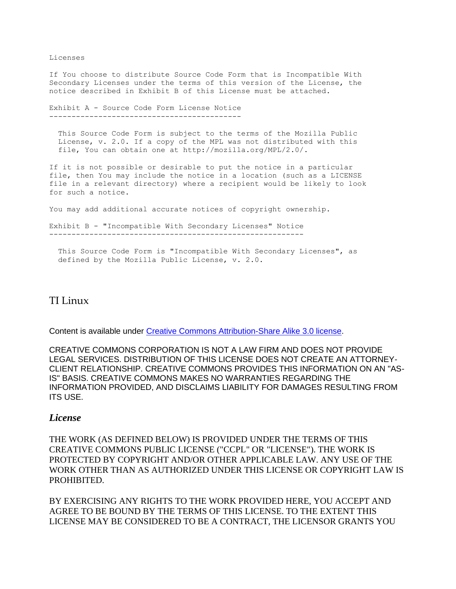Licenses

If You choose to distribute Source Code Form that is Incompatible With Secondary Licenses under the terms of this version of the License, the notice described in Exhibit B of this License must be attached.

```
Exhibit A - Source Code Form License Notice
-------------------------------------------
```
 This Source Code Form is subject to the terms of the Mozilla Public License, v. 2.0. If a copy of the MPL was not distributed with this file, You can obtain one at http://mozilla.org/MPL/2.0/.

If it is not possible or desirable to put the notice in a particular file, then You may include the notice in a location (such as a LICENSE file in a relevant directory) where a recipient would be likely to look for such a notice.

You may add additional accurate notices of copyright ownership.

Exhibit B - "Incompatible With Secondary Licenses" Notice ---------------------------------------------------------

 This Source Code Form is "Incompatible With Secondary Licenses", as defined by the Mozilla Public License, v. 2.0.

# TI Linux

Content is available under [Creative Commons Attribution-Share Alike 3.0 license.](http://processors.wiki.ti.com/index.php/Texas_Instruments_Embedded_Processors_Wiki:Copyrights)

CREATIVE COMMONS CORPORATION IS NOT A LAW FIRM AND DOES NOT PROVIDE LEGAL SERVICES. DISTRIBUTION OF THIS LICENSE DOES NOT CREATE AN ATTORNEY-CLIENT RELATIONSHIP. CREATIVE COMMONS PROVIDES THIS INFORMATION ON AN "AS-IS" BASIS. CREATIVE COMMONS MAKES NO WARRANTIES REGARDING THE INFORMATION PROVIDED, AND DISCLAIMS LIABILITY FOR DAMAGES RESULTING FROM ITS USE.

### *License*

THE WORK (AS DEFINED BELOW) IS PROVIDED UNDER THE TERMS OF THIS CREATIVE COMMONS PUBLIC LICENSE ("CCPL" OR "LICENSE"). THE WORK IS PROTECTED BY COPYRIGHT AND/OR OTHER APPLICABLE LAW. ANY USE OF THE WORK OTHER THAN AS AUTHORIZED UNDER THIS LICENSE OR COPYRIGHT LAW IS PROHIBITED.

BY EXERCISING ANY RIGHTS TO THE WORK PROVIDED HERE, YOU ACCEPT AND AGREE TO BE BOUND BY THE TERMS OF THIS LICENSE. TO THE EXTENT THIS LICENSE MAY BE CONSIDERED TO BE A CONTRACT, THE LICENSOR GRANTS YOU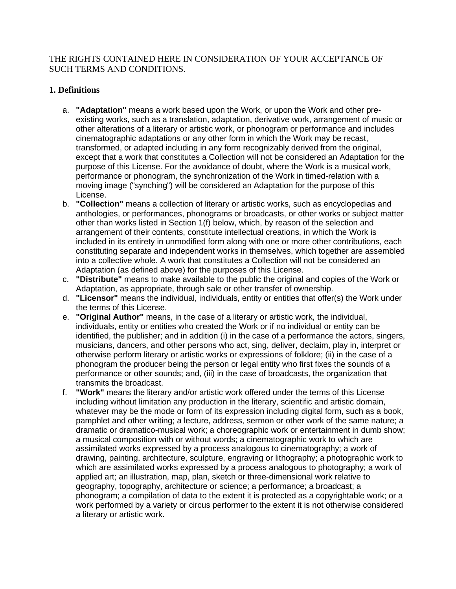THE RIGHTS CONTAINED HERE IN CONSIDERATION OF YOUR ACCEPTANCE OF SUCH TERMS AND CONDITIONS.

## **1. Definitions**

- a. **"Adaptation"** means a work based upon the Work, or upon the Work and other preexisting works, such as a translation, adaptation, derivative work, arrangement of music or other alterations of a literary or artistic work, or phonogram or performance and includes cinematographic adaptations or any other form in which the Work may be recast, transformed, or adapted including in any form recognizably derived from the original, except that a work that constitutes a Collection will not be considered an Adaptation for the purpose of this License. For the avoidance of doubt, where the Work is a musical work, performance or phonogram, the synchronization of the Work in timed-relation with a moving image ("synching") will be considered an Adaptation for the purpose of this License.
- b. **"Collection"** means a collection of literary or artistic works, such as encyclopedias and anthologies, or performances, phonograms or broadcasts, or other works or subject matter other than works listed in Section 1(f) below, which, by reason of the selection and arrangement of their contents, constitute intellectual creations, in which the Work is included in its entirety in unmodified form along with one or more other contributions, each constituting separate and independent works in themselves, which together are assembled into a collective whole. A work that constitutes a Collection will not be considered an Adaptation (as defined above) for the purposes of this License.
- c. **"Distribute"** means to make available to the public the original and copies of the Work or Adaptation, as appropriate, through sale or other transfer of ownership.
- d. **"Licensor"** means the individual, individuals, entity or entities that offer(s) the Work under the terms of this License.
- e. **"Original Author"** means, in the case of a literary or artistic work, the individual, individuals, entity or entities who created the Work or if no individual or entity can be identified, the publisher; and in addition (i) in the case of a performance the actors, singers, musicians, dancers, and other persons who act, sing, deliver, declaim, play in, interpret or otherwise perform literary or artistic works or expressions of folklore; (ii) in the case of a phonogram the producer being the person or legal entity who first fixes the sounds of a performance or other sounds; and, (iii) in the case of broadcasts, the organization that transmits the broadcast.
- f. **"Work"** means the literary and/or artistic work offered under the terms of this License including without limitation any production in the literary, scientific and artistic domain, whatever may be the mode or form of its expression including digital form, such as a book, pamphlet and other writing; a lecture, address, sermon or other work of the same nature; a dramatic or dramatico-musical work; a choreographic work or entertainment in dumb show; a musical composition with or without words; a cinematographic work to which are assimilated works expressed by a process analogous to cinematography; a work of drawing, painting, architecture, sculpture, engraving or lithography; a photographic work to which are assimilated works expressed by a process analogous to photography; a work of applied art; an illustration, map, plan, sketch or three-dimensional work relative to geography, topography, architecture or science; a performance; a broadcast; a phonogram; a compilation of data to the extent it is protected as a copyrightable work; or a work performed by a variety or circus performer to the extent it is not otherwise considered a literary or artistic work.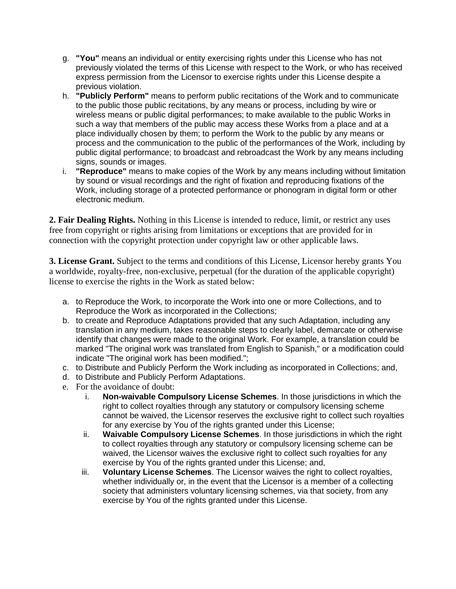- g. **"You"** means an individual or entity exercising rights under this License who has not previously violated the terms of this License with respect to the Work, or who has received express permission from the Licensor to exercise rights under this License despite a previous violation.
- h. **"Publicly Perform"** means to perform public recitations of the Work and to communicate to the public those public recitations, by any means or process, including by wire or wireless means or public digital performances; to make available to the public Works in such a way that members of the public may access these Works from a place and at a place individually chosen by them; to perform the Work to the public by any means or process and the communication to the public of the performances of the Work, including by public digital performance; to broadcast and rebroadcast the Work by any means including signs, sounds or images.
- i. **"Reproduce"** means to make copies of the Work by any means including without limitation by sound or visual recordings and the right of fixation and reproducing fixations of the Work, including storage of a protected performance or phonogram in digital form or other electronic medium.

**2. Fair Dealing Rights.** Nothing in this License is intended to reduce, limit, or restrict any uses free from copyright or rights arising from limitations or exceptions that are provided for in connection with the copyright protection under copyright law or other applicable laws.

**3. License Grant.** Subject to the terms and conditions of this License, Licensor hereby grants You a worldwide, royalty-free, non-exclusive, perpetual (for the duration of the applicable copyright) license to exercise the rights in the Work as stated below:

- a. to Reproduce the Work, to incorporate the Work into one or more Collections, and to Reproduce the Work as incorporated in the Collections;
- b. to create and Reproduce Adaptations provided that any such Adaptation, including any translation in any medium, takes reasonable steps to clearly label, demarcate or otherwise identify that changes were made to the original Work. For example, a translation could be marked "The original work was translated from English to Spanish," or a modification could indicate "The original work has been modified.";
- c. to Distribute and Publicly Perform the Work including as incorporated in Collections; and,
- d. to Distribute and Publicly Perform Adaptations.
- e. For the avoidance of doubt:
	- i. **Non-waivable Compulsory License Schemes**. In those jurisdictions in which the right to collect royalties through any statutory or compulsory licensing scheme cannot be waived, the Licensor reserves the exclusive right to collect such royalties for any exercise by You of the rights granted under this License;
	- ii. **Waivable Compulsory License Schemes**. In those jurisdictions in which the right to collect royalties through any statutory or compulsory licensing scheme can be waived, the Licensor waives the exclusive right to collect such royalties for any exercise by You of the rights granted under this License; and,
	- iii. **Voluntary License Schemes**. The Licensor waives the right to collect royalties, whether individually or, in the event that the Licensor is a member of a collecting society that administers voluntary licensing schemes, via that society, from any exercise by You of the rights granted under this License.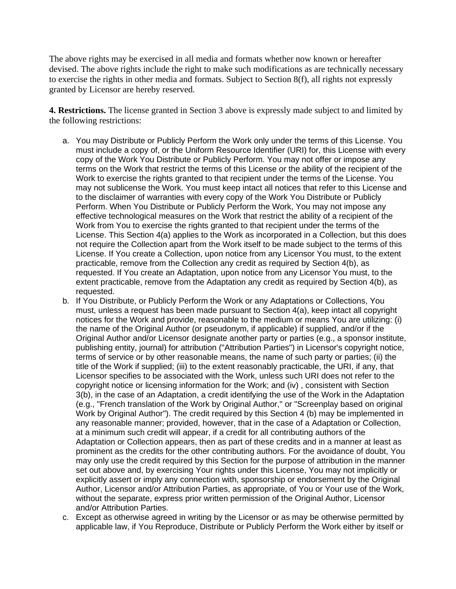The above rights may be exercised in all media and formats whether now known or hereafter devised. The above rights include the right to make such modifications as are technically necessary to exercise the rights in other media and formats. Subject to Section 8(f), all rights not expressly granted by Licensor are hereby reserved.

**4. Restrictions.** The license granted in Section 3 above is expressly made subject to and limited by the following restrictions:

- a. You may Distribute or Publicly Perform the Work only under the terms of this License. You must include a copy of, or the Uniform Resource Identifier (URI) for, this License with every copy of the Work You Distribute or Publicly Perform. You may not offer or impose any terms on the Work that restrict the terms of this License or the ability of the recipient of the Work to exercise the rights granted to that recipient under the terms of the License. You may not sublicense the Work. You must keep intact all notices that refer to this License and to the disclaimer of warranties with every copy of the Work You Distribute or Publicly Perform. When You Distribute or Publicly Perform the Work, You may not impose any effective technological measures on the Work that restrict the ability of a recipient of the Work from You to exercise the rights granted to that recipient under the terms of the License. This Section 4(a) applies to the Work as incorporated in a Collection, but this does not require the Collection apart from the Work itself to be made subject to the terms of this License. If You create a Collection, upon notice from any Licensor You must, to the extent practicable, remove from the Collection any credit as required by Section 4(b), as requested. If You create an Adaptation, upon notice from any Licensor You must, to the extent practicable, remove from the Adaptation any credit as required by Section 4(b), as requested.
- b. If You Distribute, or Publicly Perform the Work or any Adaptations or Collections, You must, unless a request has been made pursuant to Section 4(a), keep intact all copyright notices for the Work and provide, reasonable to the medium or means You are utilizing: (i) the name of the Original Author (or pseudonym, if applicable) if supplied, and/or if the Original Author and/or Licensor designate another party or parties (e.g., a sponsor institute, publishing entity, journal) for attribution ("Attribution Parties") in Licensor's copyright notice, terms of service or by other reasonable means, the name of such party or parties; (ii) the title of the Work if supplied; (iii) to the extent reasonably practicable, the URI, if any, that Licensor specifies to be associated with the Work, unless such URI does not refer to the copyright notice or licensing information for the Work; and (iv) , consistent with Section 3(b), in the case of an Adaptation, a credit identifying the use of the Work in the Adaptation (e.g., "French translation of the Work by Original Author," or "Screenplay based on original Work by Original Author"). The credit required by this Section 4 (b) may be implemented in any reasonable manner; provided, however, that in the case of a Adaptation or Collection, at a minimum such credit will appear, if a credit for all contributing authors of the Adaptation or Collection appears, then as part of these credits and in a manner at least as prominent as the credits for the other contributing authors. For the avoidance of doubt, You may only use the credit required by this Section for the purpose of attribution in the manner set out above and, by exercising Your rights under this License, You may not implicitly or explicitly assert or imply any connection with, sponsorship or endorsement by the Original Author, Licensor and/or Attribution Parties, as appropriate, of You or Your use of the Work, without the separate, express prior written permission of the Original Author, Licensor and/or Attribution Parties.
- c. Except as otherwise agreed in writing by the Licensor or as may be otherwise permitted by applicable law, if You Reproduce, Distribute or Publicly Perform the Work either by itself or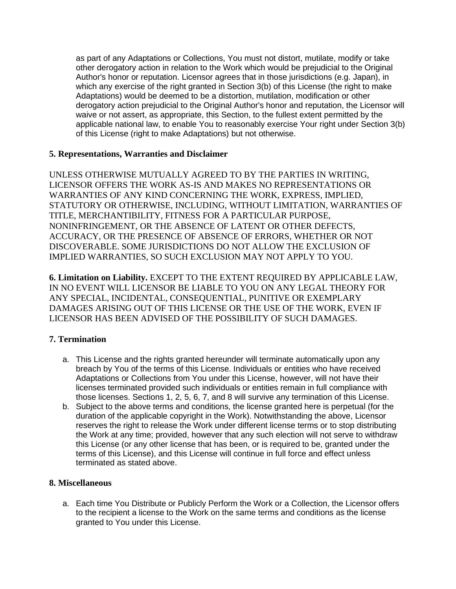as part of any Adaptations or Collections, You must not distort, mutilate, modify or take other derogatory action in relation to the Work which would be prejudicial to the Original Author's honor or reputation. Licensor agrees that in those jurisdictions (e.g. Japan), in which any exercise of the right granted in Section 3(b) of this License (the right to make Adaptations) would be deemed to be a distortion, mutilation, modification or other derogatory action prejudicial to the Original Author's honor and reputation, the Licensor will waive or not assert, as appropriate, this Section, to the fullest extent permitted by the applicable national law, to enable You to reasonably exercise Your right under Section 3(b) of this License (right to make Adaptations) but not otherwise.

### **5. Representations, Warranties and Disclaimer**

UNLESS OTHERWISE MUTUALLY AGREED TO BY THE PARTIES IN WRITING, LICENSOR OFFERS THE WORK AS-IS AND MAKES NO REPRESENTATIONS OR WARRANTIES OF ANY KIND CONCERNING THE WORK, EXPRESS, IMPLIED, STATUTORY OR OTHERWISE, INCLUDING, WITHOUT LIMITATION, WARRANTIES OF TITLE, MERCHANTIBILITY, FITNESS FOR A PARTICULAR PURPOSE, NONINFRINGEMENT, OR THE ABSENCE OF LATENT OR OTHER DEFECTS, ACCURACY, OR THE PRESENCE OF ABSENCE OF ERRORS, WHETHER OR NOT DISCOVERABLE. SOME JURISDICTIONS DO NOT ALLOW THE EXCLUSION OF IMPLIED WARRANTIES, SO SUCH EXCLUSION MAY NOT APPLY TO YOU.

**6. Limitation on Liability.** EXCEPT TO THE EXTENT REQUIRED BY APPLICABLE LAW, IN NO EVENT WILL LICENSOR BE LIABLE TO YOU ON ANY LEGAL THEORY FOR ANY SPECIAL, INCIDENTAL, CONSEQUENTIAL, PUNITIVE OR EXEMPLARY DAMAGES ARISING OUT OF THIS LICENSE OR THE USE OF THE WORK, EVEN IF LICENSOR HAS BEEN ADVISED OF THE POSSIBILITY OF SUCH DAMAGES.

## **7. Termination**

- a. This License and the rights granted hereunder will terminate automatically upon any breach by You of the terms of this License. Individuals or entities who have received Adaptations or Collections from You under this License, however, will not have their licenses terminated provided such individuals or entities remain in full compliance with those licenses. Sections 1, 2, 5, 6, 7, and 8 will survive any termination of this License.
- b. Subject to the above terms and conditions, the license granted here is perpetual (for the duration of the applicable copyright in the Work). Notwithstanding the above, Licensor reserves the right to release the Work under different license terms or to stop distributing the Work at any time; provided, however that any such election will not serve to withdraw this License (or any other license that has been, or is required to be, granted under the terms of this License), and this License will continue in full force and effect unless terminated as stated above.

## **8. Miscellaneous**

a. Each time You Distribute or Publicly Perform the Work or a Collection, the Licensor offers to the recipient a license to the Work on the same terms and conditions as the license granted to You under this License.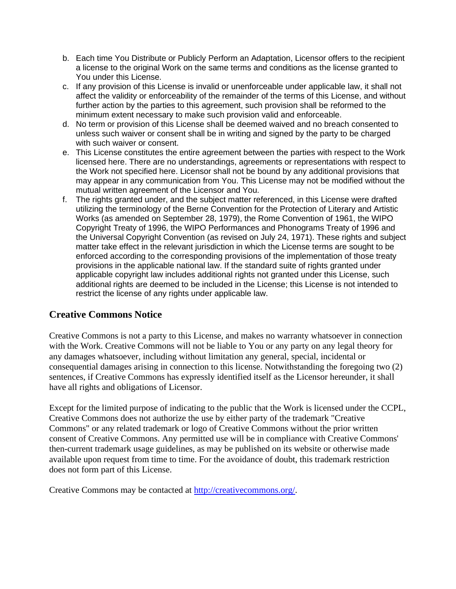- b. Each time You Distribute or Publicly Perform an Adaptation, Licensor offers to the recipient a license to the original Work on the same terms and conditions as the license granted to You under this License.
- c. If any provision of this License is invalid or unenforceable under applicable law, it shall not affect the validity or enforceability of the remainder of the terms of this License, and without further action by the parties to this agreement, such provision shall be reformed to the minimum extent necessary to make such provision valid and enforceable.
- d. No term or provision of this License shall be deemed waived and no breach consented to unless such waiver or consent shall be in writing and signed by the party to be charged with such waiver or consent.
- e. This License constitutes the entire agreement between the parties with respect to the Work licensed here. There are no understandings, agreements or representations with respect to the Work not specified here. Licensor shall not be bound by any additional provisions that may appear in any communication from You. This License may not be modified without the mutual written agreement of the Licensor and You.
- f. The rights granted under, and the subject matter referenced, in this License were drafted utilizing the terminology of the Berne Convention for the Protection of Literary and Artistic Works (as amended on September 28, 1979), the Rome Convention of 1961, the WIPO Copyright Treaty of 1996, the WIPO Performances and Phonograms Treaty of 1996 and the Universal Copyright Convention (as revised on July 24, 1971). These rights and subject matter take effect in the relevant jurisdiction in which the License terms are sought to be enforced according to the corresponding provisions of the implementation of those treaty provisions in the applicable national law. If the standard suite of rights granted under applicable copyright law includes additional rights not granted under this License, such additional rights are deemed to be included in the License; this License is not intended to restrict the license of any rights under applicable law.

# **Creative Commons Notice**

Creative Commons is not a party to this License, and makes no warranty whatsoever in connection with the Work. Creative Commons will not be liable to You or any party on any legal theory for any damages whatsoever, including without limitation any general, special, incidental or consequential damages arising in connection to this license. Notwithstanding the foregoing two (2) sentences, if Creative Commons has expressly identified itself as the Licensor hereunder, it shall have all rights and obligations of Licensor.

Except for the limited purpose of indicating to the public that the Work is licensed under the CCPL, Creative Commons does not authorize the use by either party of the trademark "Creative Commons" or any related trademark or logo of Creative Commons without the prior written consent of Creative Commons. Any permitted use will be in compliance with Creative Commons' then-current trademark usage guidelines, as may be published on its website or otherwise made available upon request from time to time. For the avoidance of doubt, this trademark restriction does not form part of this License.

Creative Commons may be contacted at [http://creativecommons.org/.](http://creativecommons.org/)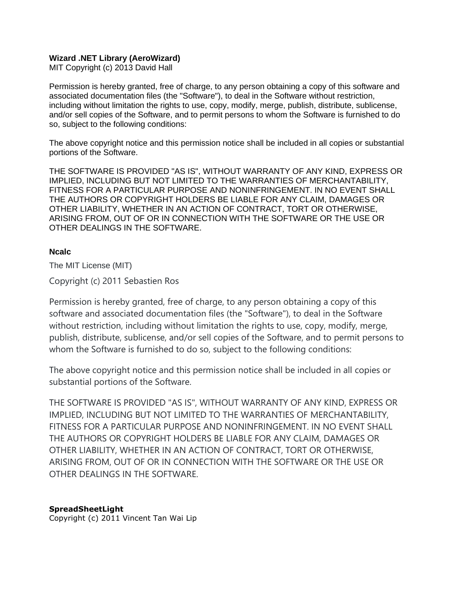### **Wizard .NET Library (AeroWizard)**

MIT Copyright (c) 2013 David Hall

Permission is hereby granted, free of charge, to any person obtaining a copy of this software and associated documentation files (the "Software"), to deal in the Software without restriction, including without limitation the rights to use, copy, modify, merge, publish, distribute, sublicense, and/or sell copies of the Software, and to permit persons to whom the Software is furnished to do so, subject to the following conditions:

The above copyright notice and this permission notice shall be included in all copies or substantial portions of the Software.

THE SOFTWARE IS PROVIDED "AS IS", WITHOUT WARRANTY OF ANY KIND, EXPRESS OR IMPLIED, INCLUDING BUT NOT LIMITED TO THE WARRANTIES OF MERCHANTABILITY, FITNESS FOR A PARTICULAR PURPOSE AND NONINFRINGEMENT. IN NO EVENT SHALL THE AUTHORS OR COPYRIGHT HOLDERS BE LIABLE FOR ANY CLAIM, DAMAGES OR OTHER LIABILITY, WHETHER IN AN ACTION OF CONTRACT, TORT OR OTHERWISE, ARISING FROM, OUT OF OR IN CONNECTION WITH THE SOFTWARE OR THE USE OR OTHER DEALINGS IN THE SOFTWARE.

### **Ncalc**

The MIT License (MIT)

Copyright (c) 2011 Sebastien Ros

Permission is hereby granted, free of charge, to any person obtaining a copy of this software and associated documentation files (the "Software"), to deal in the Software without restriction, including without limitation the rights to use, copy, modify, merge, publish, distribute, sublicense, and/or sell copies of the Software, and to permit persons to whom the Software is furnished to do so, subject to the following conditions:

The above copyright notice and this permission notice shall be included in all copies or substantial portions of the Software.

THE SOFTWARE IS PROVIDED "AS IS", WITHOUT WARRANTY OF ANY KIND, EXPRESS OR IMPLIED, INCLUDING BUT NOT LIMITED TO THE WARRANTIES OF MERCHANTABILITY, FITNESS FOR A PARTICULAR PURPOSE AND NONINFRINGEMENT. IN NO EVENT SHALL THE AUTHORS OR COPYRIGHT HOLDERS BE LIABLE FOR ANY CLAIM, DAMAGES OR OTHER LIABILITY, WHETHER IN AN ACTION OF CONTRACT, TORT OR OTHERWISE, ARISING FROM, OUT OF OR IN CONNECTION WITH THE SOFTWARE OR THE USE OR OTHER DEALINGS IN THE SOFTWARE.

### **SpreadSheetLight**

Copyright (c) 2011 Vincent Tan Wai Lip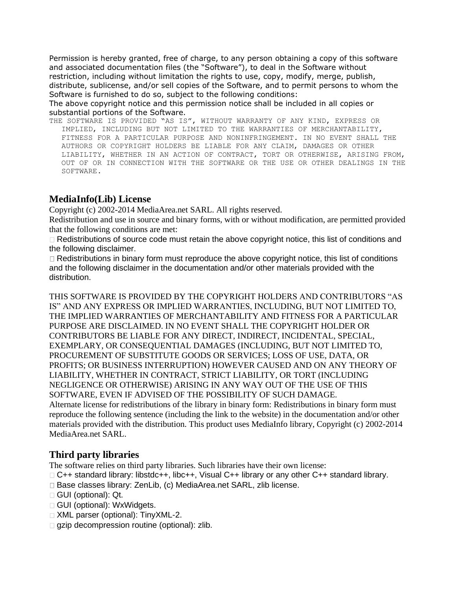Permission is hereby granted, free of charge, to any person obtaining a copy of this software and associated documentation files (the "Software"), to deal in the Software without restriction, including without limitation the rights to use, copy, modify, merge, publish, distribute, sublicense, and/or sell copies of the Software, and to permit persons to whom the Software is furnished to do so, subject to the following conditions:

The above copyright notice and this permission notice shall be included in all copies or substantial portions of the Software.

THE SOFTWARE IS PROVIDED "AS IS", WITHOUT WARRANTY OF ANY KIND, EXPRESS OR IMPLIED, INCLUDING BUT NOT LIMITED TO THE WARRANTIES OF MERCHANTABILITY, FITNESS FOR A PARTICULAR PURPOSE AND NONINFRINGEMENT. IN NO EVENT SHALL THE AUTHORS OR COPYRIGHT HOLDERS BE LIABLE FOR ANY CLAIM, DAMAGES OR OTHER LIABILITY, WHETHER IN AN ACTION OF CONTRACT, TORT OR OTHERWISE, ARISING FROM, OUT OF OR IN CONNECTION WITH THE SOFTWARE OR THE USE OR OTHER DEALINGS IN THE SOFTWARE.

# **MediaInfo(Lib) License**

Copyright (c) 2002-2014 MediaArea.net SARL. All rights reserved.

Redistribution and use in source and binary forms, with or without modification, are permitted provided that the following conditions are met:

 $\Box$  Redistributions of source code must retain the above copyright notice, this list of conditions and the following disclaimer.

 $\Box$  Redistributions in binary form must reproduce the above copyright notice, this list of conditions and the following disclaimer in the documentation and/or other materials provided with the distribution.

THIS SOFTWARE IS PROVIDED BY THE COPYRIGHT HOLDERS AND CONTRIBUTORS "AS IS" AND ANY EXPRESS OR IMPLIED WARRANTIES, INCLUDING, BUT NOT LIMITED TO, THE IMPLIED WARRANTIES OF MERCHANTABILITY AND FITNESS FOR A PARTICULAR PURPOSE ARE DISCLAIMED. IN NO EVENT SHALL THE COPYRIGHT HOLDER OR CONTRIBUTORS BE LIABLE FOR ANY DIRECT, INDIRECT, INCIDENTAL, SPECIAL, EXEMPLARY, OR CONSEQUENTIAL DAMAGES (INCLUDING, BUT NOT LIMITED TO, PROCUREMENT OF SUBSTITUTE GOODS OR SERVICES; LOSS OF USE, DATA, OR PROFITS; OR BUSINESS INTERRUPTION) HOWEVER CAUSED AND ON ANY THEORY OF LIABILITY, WHETHER IN CONTRACT, STRICT LIABILITY, OR TORT (INCLUDING NEGLIGENCE OR OTHERWISE) ARISING IN ANY WAY OUT OF THE USE OF THIS SOFTWARE, EVEN IF ADVISED OF THE POSSIBILITY OF SUCH DAMAGE. Alternate license for redistributions of the library in binary form: Redistributions in binary form must

reproduce the following sentence (including the link to the website) in the documentation and/or other materials provided with the distribution. This product uses MediaInfo library, Copyright (c) 2002-2014 MediaArea.net SARL.

## **Third party libraries**

The software relies on third party libraries. Such libraries have their own license:

□ C++ standard library: libstdc++, libc++, Visual C++ library or any other C++ standard library.

- □ Base classes library: ZenLib, (c) MediaArea.net SARL, zlib license.
- □ GUI (optional): Qt.
- GUI (optional): WxWidgets.
- □ XML parser (optional): TinyXML-2.
- $\Box$  gzip decompression routine (optional): zlib.